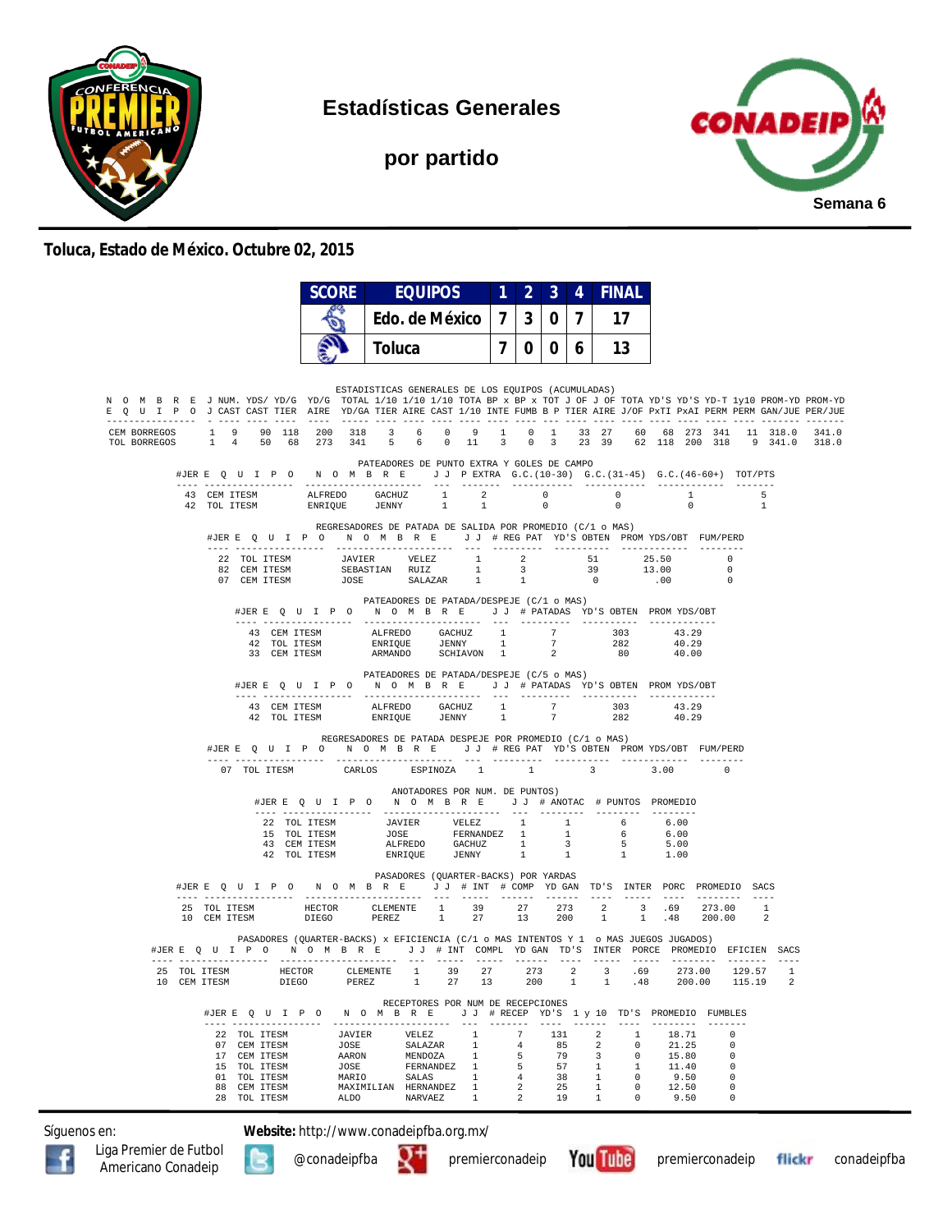

**Estadísticas Generales**

**por partido**



## **Toluca, Estado de México. Octubre 02, 2015**

|                                                                                                                                                                                                                                                        | SCORE          |                                                                                                                                                                                                                                                                                                                                                                                                                  | <b>EQUIPOS</b>                    |                   | $\overline{2}$ | $\mathbf{3}$                   | 4                       | <b>FINAL</b>                                                                                                                                                                                                                                                                                                                                                                                 |           |                     |                                  |                   |       |
|--------------------------------------------------------------------------------------------------------------------------------------------------------------------------------------------------------------------------------------------------------|----------------|------------------------------------------------------------------------------------------------------------------------------------------------------------------------------------------------------------------------------------------------------------------------------------------------------------------------------------------------------------------------------------------------------------------|-----------------------------------|-------------------|----------------|--------------------------------|-------------------------|----------------------------------------------------------------------------------------------------------------------------------------------------------------------------------------------------------------------------------------------------------------------------------------------------------------------------------------------------------------------------------------------|-----------|---------------------|----------------------------------|-------------------|-------|
|                                                                                                                                                                                                                                                        |                | Edo. de México                                                                                                                                                                                                                                                                                                                                                                                                   |                                   | 7 <sup>1</sup>    | 3 <sup>1</sup> | $\overline{7}$<br>$\mathbf{0}$ |                         | 17                                                                                                                                                                                                                                                                                                                                                                                           |           |                     |                                  |                   |       |
|                                                                                                                                                                                                                                                        |                | Toluca                                                                                                                                                                                                                                                                                                                                                                                                           |                                   |                   |                | 7006                           |                         | 13                                                                                                                                                                                                                                                                                                                                                                                           |           |                     |                                  |                   |       |
|                                                                                                                                                                                                                                                        |                |                                                                                                                                                                                                                                                                                                                                                                                                                  |                                   |                   |                |                                |                         |                                                                                                                                                                                                                                                                                                                                                                                              |           |                     |                                  |                   |       |
| N O M B R E J NUM. YDS/YD/G YD/G TOTAL 1/10 1/10 1/10 TOTA BP x BP x TOT J OF J OF TOTA YD'S YD-T 1y10 PROM-YD PROM-YD<br>E Q U I P O J CAST CAST TIER AIRE YD/GA TIER AIRE CAST 1/10 INTE FUMB B P TIER AIRE J/OF PXTI PXAI PERM PERM GAN/JUE PER/JUE |                | ESTADISTICAS GENERALES DE LOS EQUIPOS (ACUMULADAS)                                                                                                                                                                                                                                                                                                                                                               |                                   |                   |                |                                |                         |                                                                                                                                                                                                                                                                                                                                                                                              |           |                     |                                  |                   |       |
| CEM BORREGOS 1 9 90 118 200 318 3 6 0 9<br>1 4 50 68 273 341 5 6 0 11 3 0 3 23 39 62 118 200 318 9 341.0 318.0<br>TOL BORREGOS                                                                                                                         |                |                                                                                                                                                                                                                                                                                                                                                                                                                  |                                   |                   |                |                                |                         | 1 0 1 33 27 60 68 273 341 11 318.0                                                                                                                                                                                                                                                                                                                                                           |           |                     |                                  |                   | 341.0 |
| #JERE Q U I P O N O M B R E J J PEXTRA G.C. (10-30) G.C. (31-45) G.C. (46-60+) TOT/PTS                                                                                                                                                                 |                | PATEADORES DE PUNTO EXTRA Y GOLES DE CAMPO                                                                                                                                                                                                                                                                                                                                                                       |                                   |                   |                |                                |                         |                                                                                                                                                                                                                                                                                                                                                                                              |           |                     |                                  |                   |       |
|                                                                                                                                                                                                                                                        |                |                                                                                                                                                                                                                                                                                                                                                                                                                  |                                   |                   |                |                                |                         |                                                                                                                                                                                                                                                                                                                                                                                              |           | $1 - 1$<br>$\sim$ 0 |                                  | 5<br><sup>1</sup> |       |
| #JERE QUIPO NOMBRE JJ #REGPAT YD'S OBTEN PROMYDS/OBT FUM/PERD                                                                                                                                                                                          |                | REGRESADORES DE PATADA DE SALIDA POR PROMEDIO (C/1 o MAS)                                                                                                                                                                                                                                                                                                                                                        |                                   |                   |                |                                |                         |                                                                                                                                                                                                                                                                                                                                                                                              |           |                     |                                  |                   |       |
| $\begin{tabular}{cccccccc} 22 & TOL TTESM & & & JAVIER & VELEZ & 1 & 2 & 51 & 25.50 \\ 82 & CEM TTESM & & SEBASTIAN RUIZ & 1 & 3 & 39 & 13.00 \\ 07 & CEM TTESM & & JOSE & SALAZAR & 1 & 1 & 0 & .00 \\ \end{tabular}$                                 |                |                                                                                                                                                                                                                                                                                                                                                                                                                  |                                   |                   |                |                                |                         |                                                                                                                                                                                                                                                                                                                                                                                              |           |                     | $\overline{0}$<br>$\overline{0}$ |                   |       |
| #JERE Q U I P O N O M B R E J J # PATADAS YD'S OBTEN PROMYDS/OBT                                                                                                                                                                                       |                | PATEADORES DE PATADA/DESPEJE (C/1 o MAS)                                                                                                                                                                                                                                                                                                                                                                         |                                   |                   |                |                                |                         |                                                                                                                                                                                                                                                                                                                                                                                              |           |                     |                                  |                   |       |
|                                                                                                                                                                                                                                                        |                | $\begin{tabular}{lllllllllllllllllllll} \multicolumn{3}{c }{\textbf{43} & \textbf{CEM}} & \textbf{ITESM} & \textbf{ALFREDO} & \textbf{GACHUZ} & 1 & 7 & 303 & 43.29 \\ \multicolumn{3}{c }{\textbf{42} & \textbf{TOL}} & \textbf{ITESM} & \textbf{ENRIQUE} & \textbf{JENNY} & 1 & 7 & 282 & 40.29 \\ \multicolumn{3}{c }{\textbf{33} & \textbf{CEM}} & \textbf{ITESM} & \textbf{ARMANDO} & \textbf{SCHIAVON} & $ |                                   |                   |                |                                |                         |                                                                                                                                                                                                                                                                                                                                                                                              |           |                     |                                  |                   |       |
| #JERE Q U I P O N O M B R E J J # PATADAS YD'S OBTEN PROMYDS/OBT                                                                                                                                                                                       |                | PATEADORES DE PATADA/DESPEJE (C/5 o MAS)                                                                                                                                                                                                                                                                                                                                                                         |                                   |                   |                |                                |                         |                                                                                                                                                                                                                                                                                                                                                                                              |           |                     |                                  |                   |       |
|                                                                                                                                                                                                                                                        |                | $\begin{tabular}{lllllllllllll} \bf 43 & \tt CEM \mbox{ TTESM} & \tt ALFREDO & \tt GACHUZ & 1 & 7 \\ \bf 42 & \tt TOL \mbox{ TTESM} & \tt ENRIQUE & \tt JENNY & 1 & 7 \\ \end{tabular}$                                                                                                                                                                                                                          |                                   |                   |                |                                |                         | 303 43.29<br>282                                                                                                                                                                                                                                                                                                                                                                             |           | 40.29               |                                  |                   |       |
| #JERE Q U I P O N O M B R E J J # REG PAT YD'S OBTEN PROMYDS/OBT FUM/PERD                                                                                                                                                                              |                | REGRESADORES DE PATADA DESPEJE POR PROMEDIO (C/1 o MAS)                                                                                                                                                                                                                                                                                                                                                          |                                   |                   |                |                                |                         |                                                                                                                                                                                                                                                                                                                                                                                              |           |                     |                                  |                   |       |
| 07 TOL ITESM                                                                                                                                                                                                                                           | CARLOS         |                                                                                                                                                                                                                                                                                                                                                                                                                  | ESPINOZA<br>$\sim$ 1              |                   | 1              |                                | $\overline{\mathbf{3}}$ |                                                                                                                                                                                                                                                                                                                                                                                              | 3.00      |                     | $\Omega$                         |                   |       |
|                                                                                                                                                                                                                                                        |                | #JERE Q U I P O N O M B R E J J # ANOTAC # PUNTOS PROMEDIO                                                                                                                                                                                                                                                                                                                                                       | ANOTADORES POR NUM. DE PUNTOS)    |                   |                |                                |                         |                                                                                                                                                                                                                                                                                                                                                                                              |           |                     |                                  |                   |       |
|                                                                                                                                                                                                                                                        |                |                                                                                                                                                                                                                                                                                                                                                                                                                  |                                   |                   |                |                                |                         |                                                                                                                                                                                                                                                                                                                                                                                              |           |                     |                                  |                   |       |
|                                                                                                                                                                                                                                                        |                | $\begin{tabular}{lcccccc} 22 & TOL ITESM & & JAVIER & VELEZ & 1 & 1 & 6 & 6.00 \\ 15 & TOL ITESM & & JOSE & FERNANDEZ & 1 & 1 & 6 & 6.00 \\ 43 & CEM ITESM & & ALFREDO & GACHUZ & 1 & 3 & 5 & 5.00 \\ 42 & TOL ITESM & & ENRIQUE & JENNY & 1 & 1 & 1 & 1.00 \\ \end{tabular}$                                                                                                                                    |                                   |                   |                |                                |                         |                                                                                                                                                                                                                                                                                                                                                                                              |           |                     |                                  |                   |       |
| #JERE Q U I P O N O M B R E J J # INT # COMP YD GAN TD'S INTER PORC PROMEDIO SACS                                                                                                                                                                      |                | PASADORES (OUARTER-BACKS) POR YARDAS                                                                                                                                                                                                                                                                                                                                                                             |                                   |                   |                |                                |                         |                                                                                                                                                                                                                                                                                                                                                                                              |           |                     |                                  |                   |       |
| 10 CEM ITESM                                                                                                                                                                                                                                           |                |                                                                                                                                                                                                                                                                                                                                                                                                                  |                                   |                   |                |                                |                         |                                                                                                                                                                                                                                                                                                                                                                                              |           |                     |                                  |                   |       |
| PASADORES (QUARTER-BACKS) x EFICIENCIA (C/1 o MAS INTENTOS Y 1 o MAS JUEGOS JUGADOS)<br>#JERE Q U I P O N O M B R E J J # INT COMPL YDGAN TD'S INTER PORCE PROMEDIO EFICIEN SACS                                                                       |                |                                                                                                                                                                                                                                                                                                                                                                                                                  |                                   |                   |                |                                |                         |                                                                                                                                                                                                                                                                                                                                                                                              |           |                     |                                  |                   |       |
| 10 CEM ITESM<br>DIEGO                                                                                                                                                                                                                                  |                | PEREZ 1 27 13 200 1 1 .48 200.00                                                                                                                                                                                                                                                                                                                                                                                 |                                   |                   |                |                                |                         |                                                                                                                                                                                                                                                                                                                                                                                              |           | 273.00 129.57 1     | 115.19                           |                   |       |
| #JER E Q U I P O N O M B R E J J # RECEP YD'S 1 y 10 TD'S PROMEDIO FUMBLES                                                                                                                                                                             |                |                                                                                                                                                                                                                                                                                                                                                                                                                  | RECEPTORES POR NUM DE RECEPCIONES | $- - - - - - - -$ |                | ----- -------                  |                         | $\frac{1}{2} \frac{1}{2} \frac{1}{2} \frac{1}{2} \frac{1}{2} \frac{1}{2} \frac{1}{2} \frac{1}{2} \frac{1}{2} \frac{1}{2} \frac{1}{2} \frac{1}{2} \frac{1}{2} \frac{1}{2} \frac{1}{2} \frac{1}{2} \frac{1}{2} \frac{1}{2} \frac{1}{2} \frac{1}{2} \frac{1}{2} \frac{1}{2} \frac{1}{2} \frac{1}{2} \frac{1}{2} \frac{1}{2} \frac{1}{2} \frac{1}{2} \frac{1}{2} \frac{1}{2} \frac{1}{2} \frac{$ | _________ |                     | $- - - - - - - -$                |                   |       |
| 22 TOL ITESM<br>07 CEM ITESM                                                                                                                                                                                                                           | JAVIER<br>JOSE | VELEZ<br>SALAZAR                                                                                                                                                                                                                                                                                                                                                                                                 | $\overline{1}$<br>$\mathbf{1}$    |                   | 7<br>4         | 131<br>85                      |                         | 2<br>$\overline{1}$<br>2<br>$\Omega$                                                                                                                                                                                                                                                                                                                                                         |           | 18.71<br>21.25      | $\Omega$<br>0                    |                   |       |
| 17 CEM ITESM<br>15 TOL ITESM                                                                                                                                                                                                                           | AARON<br>JOSE  | MENDOZA                                                                                                                                                                                                                                                                                                                                                                                                          | $\mathbf{1}$<br>FERNANDEZ 1       |                   | 5<br>5         | 79<br>57                       |                         | 3<br>$\Omega$<br>1<br>$\mathbf{1}$                                                                                                                                                                                                                                                                                                                                                           |           | 15.80<br>11.40      | $\Omega$<br>$\Omega$             |                   |       |
| 01 TOL ITESM                                                                                                                                                                                                                                           | MARIO          |                                                                                                                                                                                                                                                                                                                                                                                                                  | SALAS<br>$\mathbf{1}$             |                   | 4              | 38                             |                         | $\circ$<br>$\overline{1}$                                                                                                                                                                                                                                                                                                                                                                    |           | 9.50                | $\Omega$                         |                   |       |
| 88 CEM ITESM<br>28 TOL ITESM                                                                                                                                                                                                                           | AT DO          | MAXIMILIAN HERNANDEZ<br>NARVAEZ                                                                                                                                                                                                                                                                                                                                                                                  | -1<br>$\mathbf{1}$                |                   | 2<br>2         | 25<br>19                       |                         | $^{\circ}$<br>$\mathbf{1}$<br>1<br>$^{\circ}$                                                                                                                                                                                                                                                                                                                                                |           | 12.50<br>9.50       | 0<br>$\mathbf 0$                 |                   |       |

Síguenos en: **Website:** http://www.conadeipfba.org.mx/